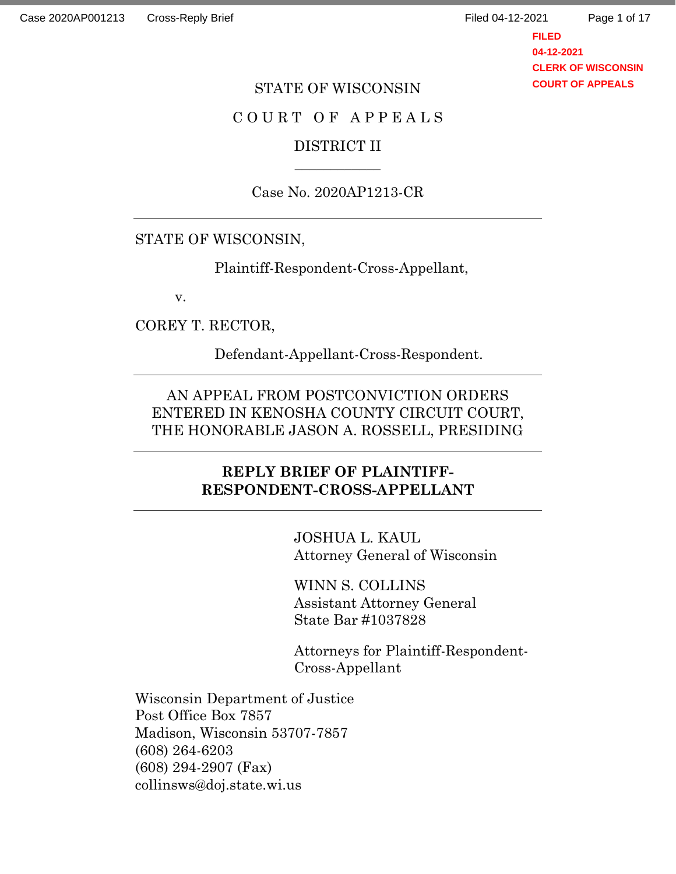**FILED 04-12-2021 CLERK OF WISCONSIN COURT OF APPEALS**

#### STATE OF WISCONSIN

#### C O U R T O F A P P E A L S

### DISTRICT II  $\overline{\phantom{a}}$

#### Case No. 2020AP1213-CR

## STATE OF WISCONSIN,

Plaintiff-Respondent-Cross-Appellant,

v.

COREY T. RECTOR,

Defendant-Appellant-Cross-Respondent.

AN APPEAL FROM POSTCONVICTION ORDERS ENTERED IN KENOSHA COUNTY CIRCUIT COURT, THE HONORABLE JASON A. ROSSELL, PRESIDING

## **REPLY BRIEF OF PLAINTIFF-RESPONDENT-CROSS-APPELLANT**

JOSHUA L. KAUL Attorney General of Wisconsin

WINN S. COLLINS Assistant Attorney General State Bar #1037828

Attorneys for Plaintiff-Respondent-Cross-Appellant

Wisconsin Department of Justice Post Office Box 7857 Madison, Wisconsin 53707-7857 (608) 264-6203 (608) 294-2907 (Fax) collinsws@doj.state.wi.us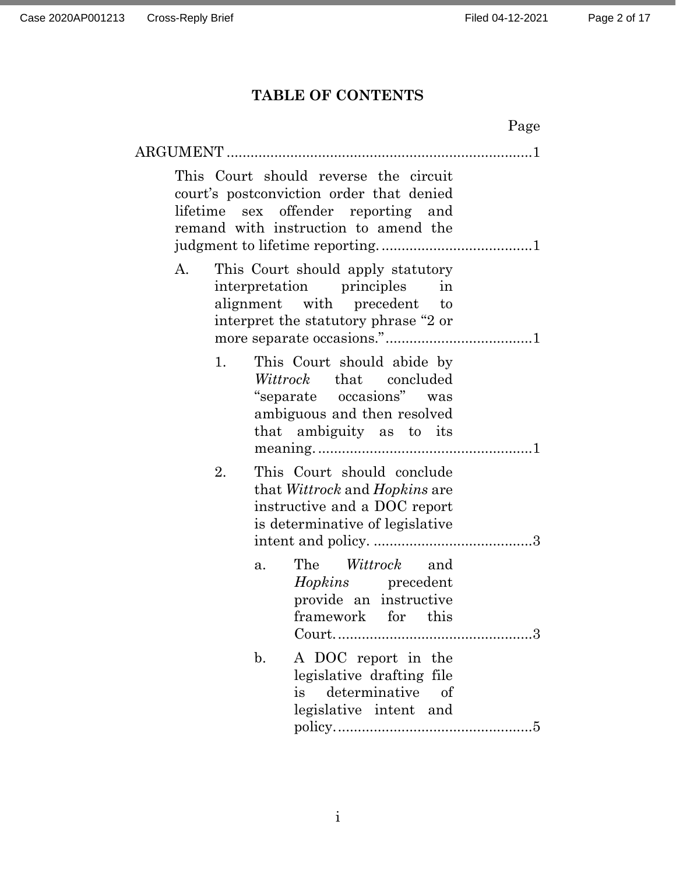# **TABLE OF CONTENTS**

| Page                                                                                                                                                                |
|---------------------------------------------------------------------------------------------------------------------------------------------------------------------|
| ARGUMENT                                                                                                                                                            |
| This Court should reverse the circuit<br>court's postconviction order that denied<br>sex offender reporting and<br>lifetime<br>remand with instruction to amend the |
| This Court should apply statutory<br>A.<br>interpretation principles<br>in<br>alignment with precedent<br>to<br>interpret the statutory phrase "2 or                |
| This Court should abide by<br>1.<br>Wittrock that concluded<br>"separate occasions" was<br>ambiguous and then resolved<br>that ambiguity as to its                  |
| This Court should conclude<br>2.<br>that <i>Wittrock</i> and <i>Hopkins</i> are<br>instructive and a DOC report<br>is determinative of legislative                  |
| The <i>Wittrock</i> and<br>a.<br><i>Hopkins</i> precedent<br>provide an instructive<br>framework for<br>$_{\rm this}$                                               |
| A DOC report in the<br>$\mathbf{b}$ .<br>legislative drafting file<br>determinative of<br>is<br>legislative intent and                                              |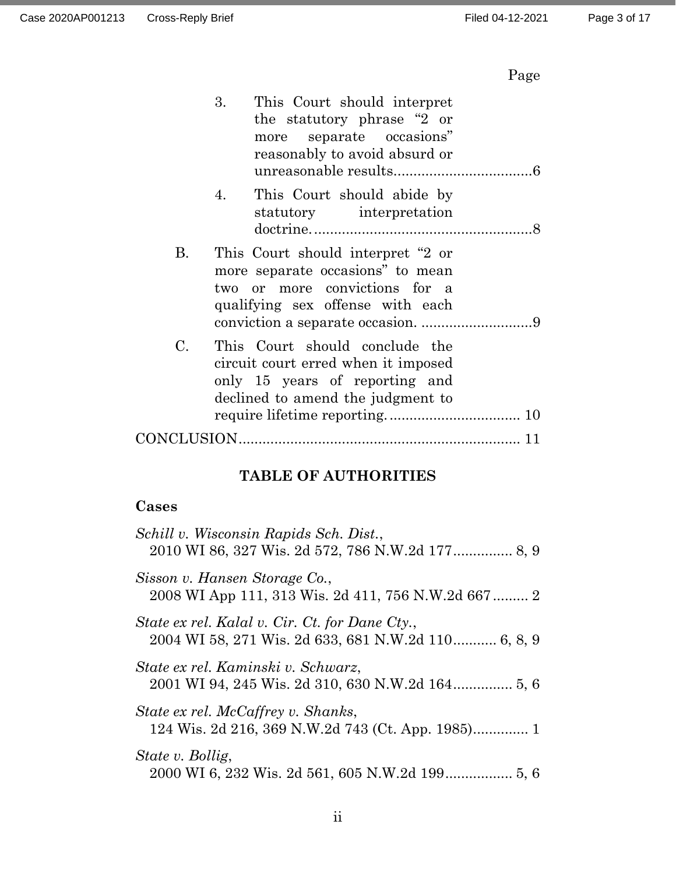# Page

|             | 3.<br>This Court should interpret<br>the statutory phrase "2 or<br>more separate occasions"<br>reasonably to avoid absurd or                 |
|-------------|----------------------------------------------------------------------------------------------------------------------------------------------|
|             | This Court should abide by<br>4.<br>statutory interpretation                                                                                 |
| <b>B.</b>   | This Court should interpret "2 or<br>more separate occasions" to mean<br>two or more convictions for a<br>qualifying sex offense with each   |
| $C_{\cdot}$ | This Court should conclude the<br>circuit court erred when it imposed<br>only 15 years of reporting and<br>declined to amend the judgment to |
|             |                                                                                                                                              |

# **TABLE OF AUTHORITIES**

# **Cases**

| Schill v. Wisconsin Rapids Sch. Dist.,                                                                |
|-------------------------------------------------------------------------------------------------------|
| Sisson v. Hansen Storage Co.,<br>2008 WI App 111, 313 Wis. 2d 411, 756 N.W.2d 667 2                   |
| State ex rel. Kalal v. Cir. Ct. for Dane Cty.,<br>2004 WI 58, 271 Wis. 2d 633, 681 N.W.2d 110 6, 8, 9 |
| State ex rel. Kaminski v. Schwarz,                                                                    |
| State ex rel. McCaffrey v. Shanks,                                                                    |
| State v. Bollig,                                                                                      |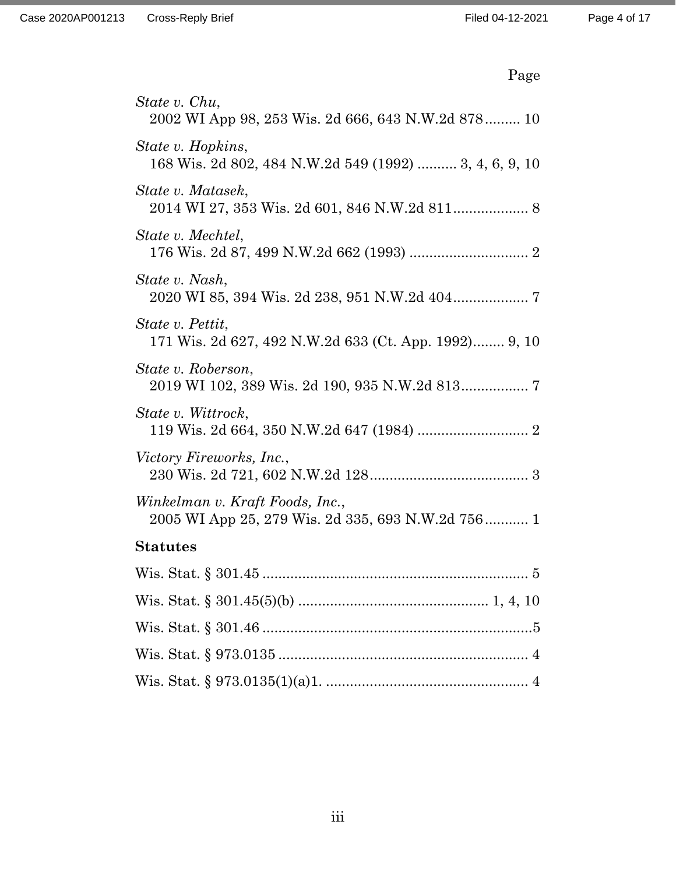| Page                                                                                 |
|--------------------------------------------------------------------------------------|
| State v. Chu,<br>2002 WI App 98, 253 Wis. 2d 666, 643 N.W.2d 878 10                  |
| State v. Hopkins,<br>168 Wis. 2d 802, 484 N.W.2d 549 (1992)  3, 4, 6, 9, 10          |
| State v. Matasek,<br>2014 WI 27, 353 Wis. 2d 601, 846 N.W.2d 811 8                   |
| State v. Mechtel,                                                                    |
| State v. Nash,                                                                       |
| State v. Pettit,<br>171 Wis. 2d 627, 492 N.W.2d 633 (Ct. App. 1992) 9, 10            |
| State v. Roberson,<br>2019 WI 102, 389 Wis. 2d 190, 935 N.W.2d 813 7                 |
| State v. Wittrock,                                                                   |
| <i>Victory Fireworks, Inc.,</i>                                                      |
| Winkelman v. Kraft Foods, Inc.,<br>2005 WI App 25, 279 Wis. 2d 335, 693 N.W.2d 756 1 |
| <b>Statutes</b>                                                                      |
|                                                                                      |
|                                                                                      |
|                                                                                      |
|                                                                                      |
|                                                                                      |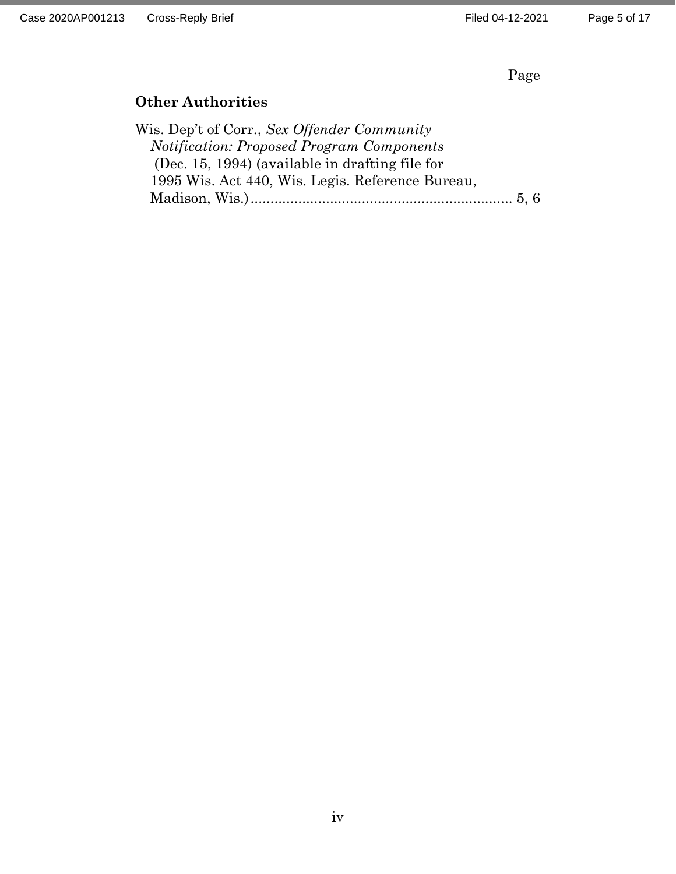Page

#### **Other Authorities**

Wis. Dep't of Corr., *Sex Offender Community Notification: Proposed Program Components* (Dec. 15, 1994) (available in drafting file for 1995 Wis. Act 440, Wis. Legis. Reference Bureau, Madison, Wis.).................................................................. 5, 6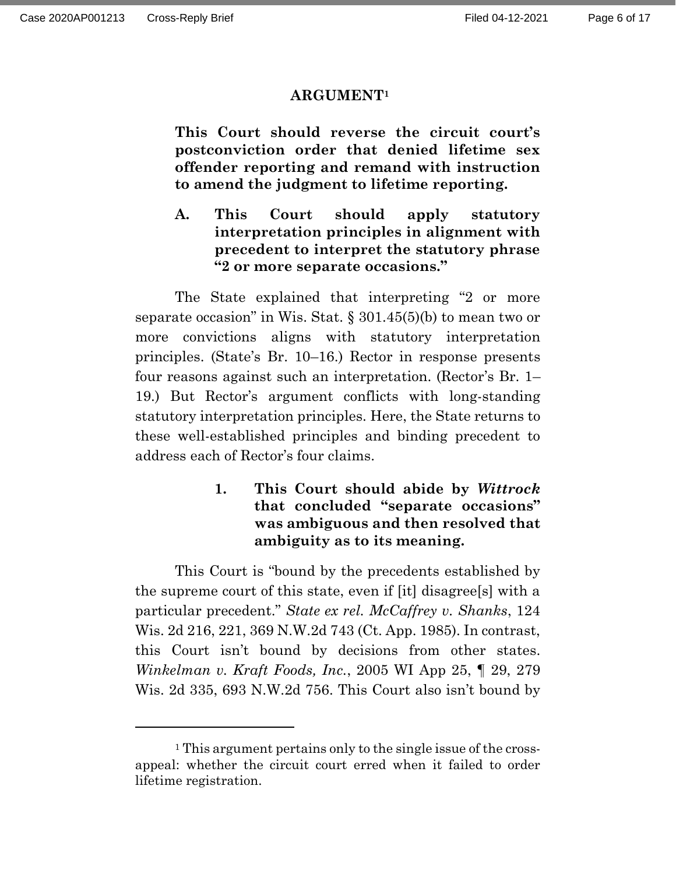#### **ARGUMENT<sup>1</sup>**

**This Court should reverse the circuit court's postconviction order that denied lifetime sex offender reporting and remand with instruction to amend the judgment to lifetime reporting.**

**A. This Court should apply statutory interpretation principles in alignment with precedent to interpret the statutory phrase "2 or more separate occasions."**

The State explained that interpreting "2 or more separate occasion" in Wis. Stat.  $\S 301.45(5)(b)$  to mean two or more convictions aligns with statutory interpretation principles. (State's Br. 10–16.) Rector in response presents four reasons against such an interpretation. (Rector's Br. 1– 19.) But Rector's argument conflicts with long-standing statutory interpretation principles. Here, the State returns to these well-established principles and binding precedent to address each of Rector's four claims.

> **1. This Court should abide by** *Wittrock* **that concluded "separate occasions" was ambiguous and then resolved that ambiguity as to its meaning.**

This Court is "bound by the precedents established by the supreme court of this state, even if [it] disagree[s] with a particular precedent." *State ex rel. McCaffrey v. Shanks*, 124 Wis. 2d 216, 221, 369 N.W.2d 743 (Ct. App. 1985). In contrast, this Court isn't bound by decisions from other states. *Winkelman v. Kraft Foods, Inc.*, 2005 WI App 25, ¶ 29, 279 Wis. 2d 335, 693 N.W.2d 756. This Court also isn't bound by

<sup>1</sup> This argument pertains only to the single issue of the crossappeal: whether the circuit court erred when it failed to order lifetime registration.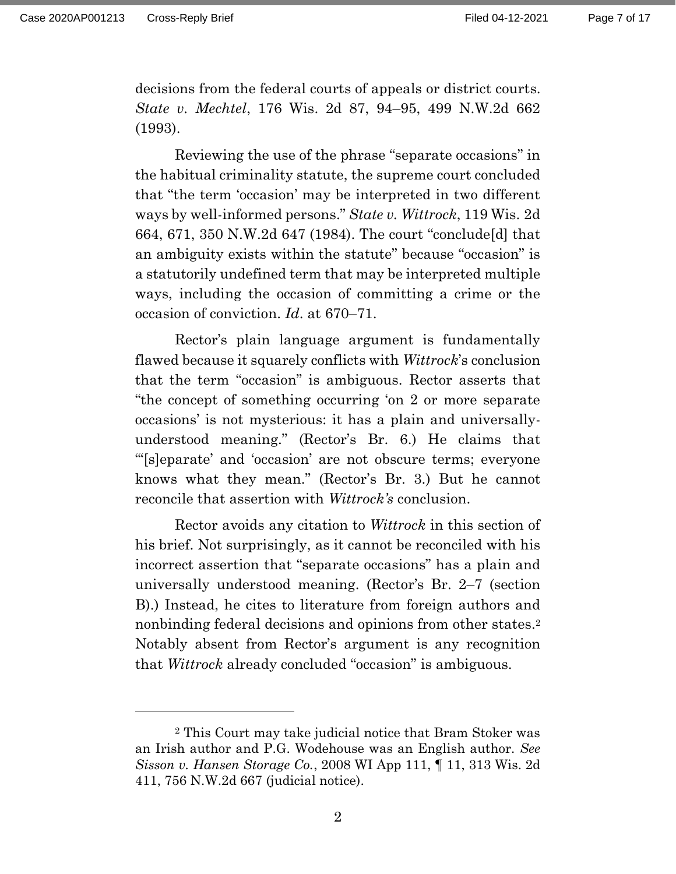decisions from the federal courts of appeals or district courts. *State v. Mechtel*, 176 Wis. 2d 87, 94–95, 499 N.W.2d 662 (1993).

Reviewing the use of the phrase "separate occasions" in the habitual criminality statute, the supreme court concluded that "the term 'occasion' may be interpreted in two different ways by well-informed persons." *State v. Wittrock*, 119 Wis. 2d 664, 671, 350 N.W.2d 647 (1984). The court "conclude[d] that an ambiguity exists within the statute" because "occasion" is a statutorily undefined term that may be interpreted multiple ways, including the occasion of committing a crime or the occasion of conviction. *Id*. at 670–71.

Rector's plain language argument is fundamentally flawed because it squarely conflicts with *Wittrock*'s conclusion that the term "occasion" is ambiguous. Rector asserts that "the concept of something occurring 'on 2 or more separate occasions' is not mysterious: it has a plain and universallyunderstood meaning." (Rector's Br. 6.) He claims that "'[s]eparate' and 'occasion' are not obscure terms; everyone knows what they mean." (Rector's Br. 3.) But he cannot reconcile that assertion with *Wittrock's* conclusion.

Rector avoids any citation to *Wittrock* in this section of his brief. Not surprisingly, as it cannot be reconciled with his incorrect assertion that "separate occasions" has a plain and universally understood meaning. (Rector's Br. 2–7 (section B).) Instead, he cites to literature from foreign authors and nonbinding federal decisions and opinions from other states.<sup>2</sup> Notably absent from Rector's argument is any recognition that *Wittrock* already concluded "occasion" is ambiguous.

<sup>2</sup> This Court may take judicial notice that Bram Stoker was an Irish author and P.G. Wodehouse was an English author. *See Sisson v. Hansen Storage Co.*, 2008 WI App 111, ¶ 11, 313 Wis. 2d 411, 756 N.W.2d 667 (judicial notice).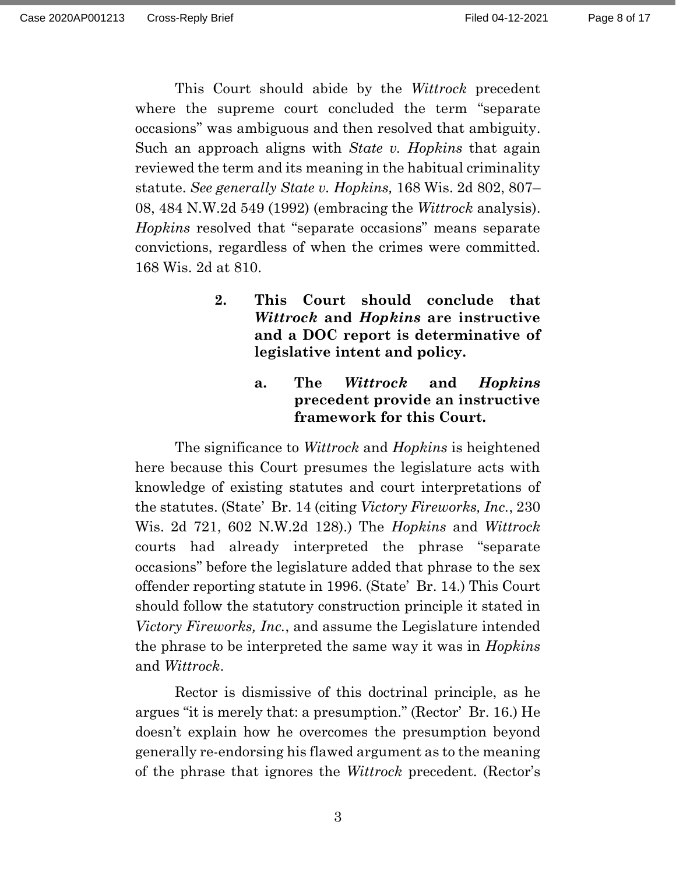This Court should abide by the *Wittrock* precedent where the supreme court concluded the term "separate occasions" was ambiguous and then resolved that ambiguity. Such an approach aligns with *State v. Hopkins* that again reviewed the term and its meaning in the habitual criminality statute. *See generally State v. Hopkins,* 168 Wis. 2d 802, 807– 08, 484 N.W.2d 549 (1992) (embracing the *Wittrock* analysis). *Hopkins* resolved that "separate occasions" means separate convictions, regardless of when the crimes were committed. 168 Wis. 2d at 810.

- **2. This Court should conclude that**  *Wittrock* **and** *Hopkins* **are instructive and a DOC report is determinative of legislative intent and policy.**
	- **a. The** *Wittrock* **and** *Hopkins* **precedent provide an instructive framework for this Court.**

The significance to *Wittrock* and *Hopkins* is heightened here because this Court presumes the legislature acts with knowledge of existing statutes and court interpretations of the statutes. (State' Br. 14 (citing *Victory Fireworks, Inc.*, 230 Wis. 2d 721, 602 N.W.2d 128).) The *Hopkins* and *Wittrock* courts had already interpreted the phrase "separate occasions" before the legislature added that phrase to the sex offender reporting statute in 1996. (State' Br. 14.) This Court should follow the statutory construction principle it stated in *Victory Fireworks, Inc.*, and assume the Legislature intended the phrase to be interpreted the same way it was in *Hopkins* and *Wittrock*.

Rector is dismissive of this doctrinal principle, as he argues "it is merely that: a presumption." (Rector' Br. 16.) He doesn't explain how he overcomes the presumption beyond generally re-endorsing his flawed argument as to the meaning of the phrase that ignores the *Wittrock* precedent. (Rector's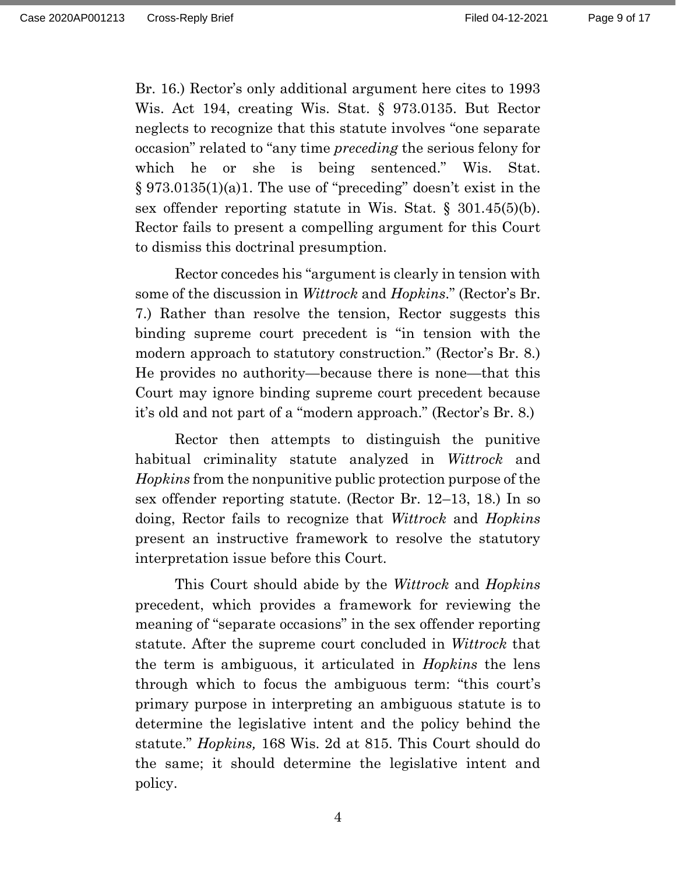Br. 16.) Rector's only additional argument here cites to 1993 Wis. Act 194, creating Wis. Stat. § 973.0135. But Rector neglects to recognize that this statute involves "one separate occasion" related to "any time *preceding* the serious felony for which he or she is being sentenced." Wis. Stat. § 973.0135(1)(a)1. The use of "preceding" doesn't exist in the sex offender reporting statute in Wis. Stat. § 301.45(5)(b). Rector fails to present a compelling argument for this Court to dismiss this doctrinal presumption.

Rector concedes his "argument is clearly in tension with some of the discussion in *Wittrock* and *Hopkins*." (Rector's Br. 7.) Rather than resolve the tension, Rector suggests this binding supreme court precedent is "in tension with the modern approach to statutory construction." (Rector's Br. 8.) He provides no authority—because there is none—that this Court may ignore binding supreme court precedent because it's old and not part of a "modern approach." (Rector's Br. 8.)

Rector then attempts to distinguish the punitive habitual criminality statute analyzed in *Wittrock* and *Hopkins* from the nonpunitive public protection purpose of the sex offender reporting statute. (Rector Br. 12–13, 18.) In so doing, Rector fails to recognize that *Wittrock* and *Hopkins* present an instructive framework to resolve the statutory interpretation issue before this Court.

This Court should abide by the *Wittrock* and *Hopkins* precedent, which provides a framework for reviewing the meaning of "separate occasions" in the sex offender reporting statute. After the supreme court concluded in *Wittrock* that the term is ambiguous, it articulated in *Hopkins* the lens through which to focus the ambiguous term: "this court's primary purpose in interpreting an ambiguous statute is to determine the legislative intent and the policy behind the statute." *Hopkins,* 168 Wis. 2d at 815. This Court should do the same; it should determine the legislative intent and policy.

4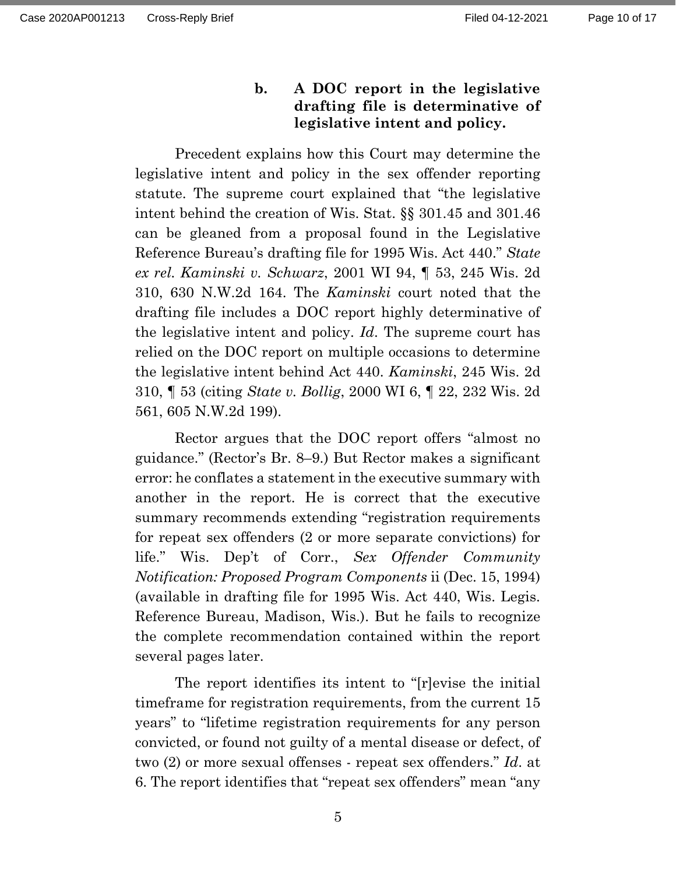## **b. A DOC report in the legislative drafting file is determinative of legislative intent and policy.**

Precedent explains how this Court may determine the legislative intent and policy in the sex offender reporting statute. The supreme court explained that "the legislative intent behind the creation of Wis. Stat. §§ 301.45 and 301.46 can be gleaned from a proposal found in the Legislative Reference Bureau's drafting file for 1995 Wis. Act 440." *State ex rel. Kaminski v. Schwarz*, 2001 WI 94, ¶ 53, 245 Wis. 2d 310, 630 N.W.2d 164. The *Kaminski* court noted that the drafting file includes a DOC report highly determinative of the legislative intent and policy. *Id*. The supreme court has relied on the DOC report on multiple occasions to determine the legislative intent behind Act 440. *Kaminski*, 245 Wis. 2d 310, ¶ 53 (citing *State v. Bollig*, 2000 WI 6, ¶ 22, 232 Wis. 2d 561, 605 N.W.2d 199).

Rector argues that the DOC report offers "almost no guidance." (Rector's Br. 8–9.) But Rector makes a significant error: he conflates a statement in the executive summary with another in the report. He is correct that the executive summary recommends extending "registration requirements for repeat sex offenders (2 or more separate convictions) for life." Wis. Dep't of Corr., *Sex Offender Community Notification: Proposed Program Components* ii (Dec. 15, 1994) (available in drafting file for 1995 Wis. Act 440, Wis. Legis. Reference Bureau, Madison, Wis.). But he fails to recognize the complete recommendation contained within the report several pages later.

The report identifies its intent to "[r]evise the initial timeframe for registration requirements, from the current 15 years" to "lifetime registration requirements for any person convicted, or found not guilty of a mental disease or defect, of two (2) or more sexual offenses - repeat sex offenders." *Id*. at 6. The report identifies that "repeat sex offenders" mean "any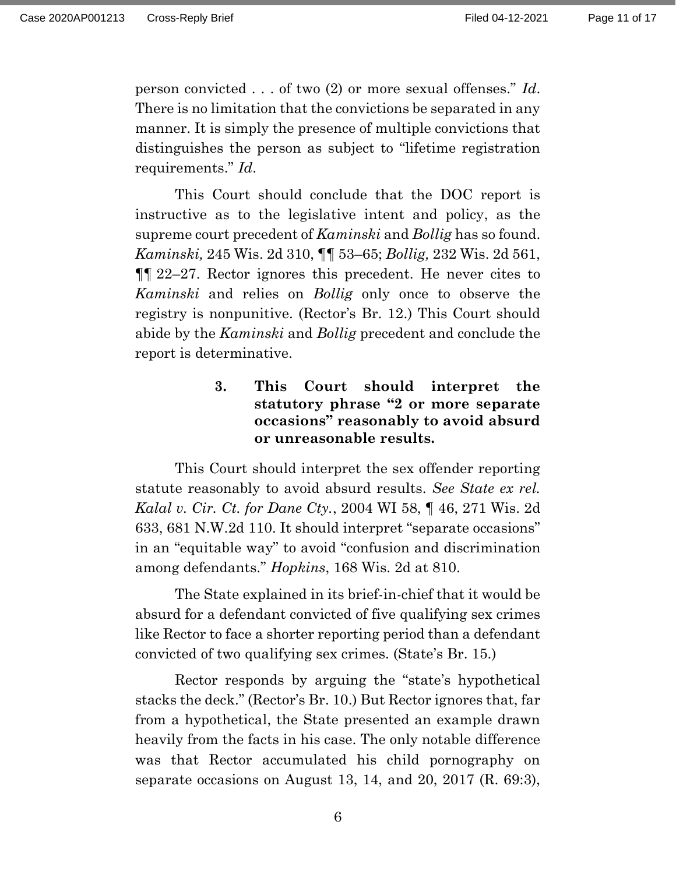person convicted . . . of two (2) or more sexual offenses." *Id*. There is no limitation that the convictions be separated in any manner. It is simply the presence of multiple convictions that distinguishes the person as subject to "lifetime registration requirements." *Id*.

This Court should conclude that the DOC report is instructive as to the legislative intent and policy, as the supreme court precedent of *Kaminski* and *Bollig* has so found. *Kaminski,* 245 Wis. 2d 310, ¶¶ 53–65; *Bollig,* 232 Wis. 2d 561, ¶¶ 22–27. Rector ignores this precedent. He never cites to *Kaminski* and relies on *Bollig* only once to observe the registry is nonpunitive. (Rector's Br. 12.) This Court should abide by the *Kaminski* and *Bollig* precedent and conclude the report is determinative.

> **3. This Court should interpret the statutory phrase "2 or more separate occasions" reasonably to avoid absurd or unreasonable results.**

This Court should interpret the sex offender reporting statute reasonably to avoid absurd results. *See State ex rel. Kalal v. Cir. Ct. for Dane Cty.*, 2004 WI 58, ¶ 46, 271 Wis. 2d 633, 681 N.W.2d 110. It should interpret "separate occasions" in an "equitable way" to avoid "confusion and discrimination among defendants." *Hopkins*, 168 Wis. 2d at 810.

The State explained in its brief-in-chief that it would be absurd for a defendant convicted of five qualifying sex crimes like Rector to face a shorter reporting period than a defendant convicted of two qualifying sex crimes. (State's Br. 15.)

Rector responds by arguing the "state's hypothetical stacks the deck." (Rector's Br. 10.) But Rector ignores that, far from a hypothetical, the State presented an example drawn heavily from the facts in his case. The only notable difference was that Rector accumulated his child pornography on separate occasions on August 13, 14, and 20, 2017 (R. 69:3),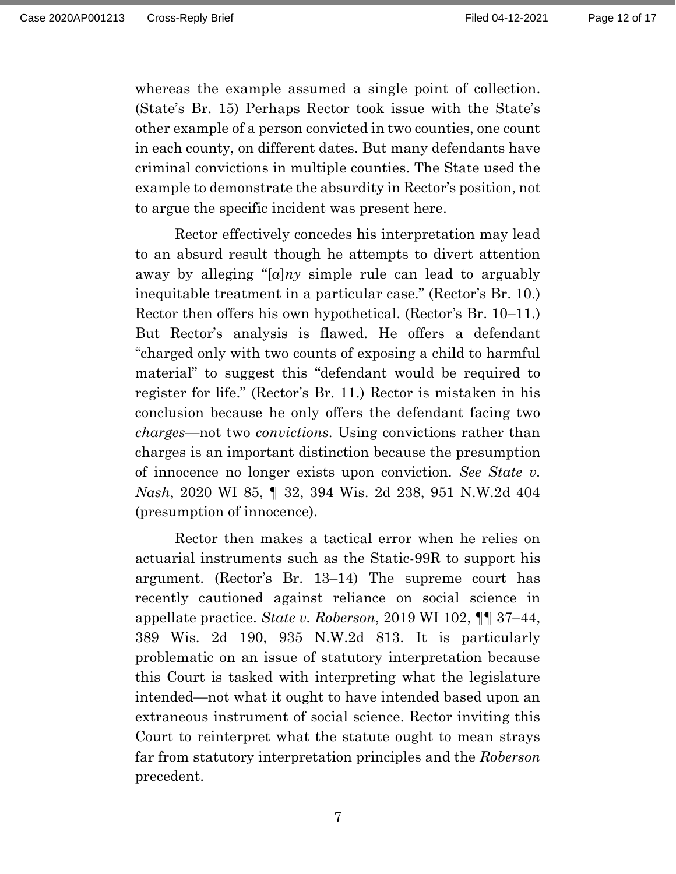whereas the example assumed a single point of collection. (State's Br. 15) Perhaps Rector took issue with the State's other example of a person convicted in two counties, one count in each county, on different dates. But many defendants have criminal convictions in multiple counties. The State used the example to demonstrate the absurdity in Rector's position, not to argue the specific incident was present here.

Rector effectively concedes his interpretation may lead to an absurd result though he attempts to divert attention away by alleging "[*a*]*ny* simple rule can lead to arguably inequitable treatment in a particular case." (Rector's Br. 10.) Rector then offers his own hypothetical. (Rector's Br. 10–11.) But Rector's analysis is flawed. He offers a defendant "charged only with two counts of exposing a child to harmful material" to suggest this "defendant would be required to register for life." (Rector's Br. 11.) Rector is mistaken in his conclusion because he only offers the defendant facing two *charges*—not two *convictions*. Using convictions rather than charges is an important distinction because the presumption of innocence no longer exists upon conviction. *See State v. Nash*, 2020 WI 85, ¶ 32, 394 Wis. 2d 238, 951 N.W.2d 404 (presumption of innocence).

Rector then makes a tactical error when he relies on actuarial instruments such as the Static-99R to support his argument. (Rector's Br. 13–14) The supreme court has recently cautioned against reliance on social science in appellate practice. *State v. Roberson*, 2019 WI 102, ¶¶ 37–44, 389 Wis. 2d 190, 935 N.W.2d 813. It is particularly problematic on an issue of statutory interpretation because this Court is tasked with interpreting what the legislature intended—not what it ought to have intended based upon an extraneous instrument of social science. Rector inviting this Court to reinterpret what the statute ought to mean strays far from statutory interpretation principles and the *Roberson* precedent.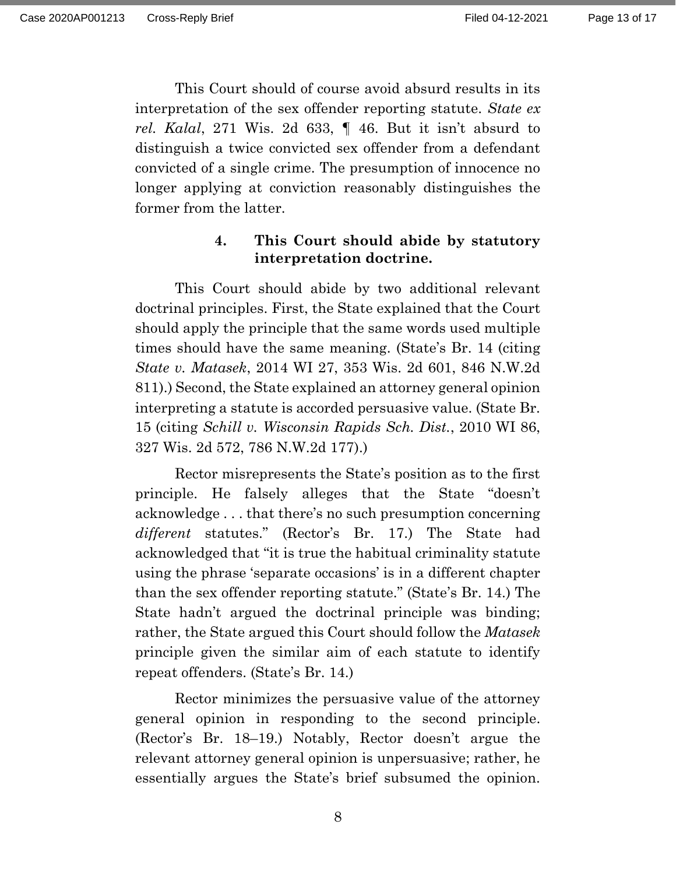This Court should of course avoid absurd results in its interpretation of the sex offender reporting statute. *State ex rel. Kalal*, 271 Wis. 2d 633, ¶ 46. But it isn't absurd to distinguish a twice convicted sex offender from a defendant convicted of a single crime. The presumption of innocence no longer applying at conviction reasonably distinguishes the former from the latter.

### **4. This Court should abide by statutory interpretation doctrine.**

This Court should abide by two additional relevant doctrinal principles. First, the State explained that the Court should apply the principle that the same words used multiple times should have the same meaning. (State's Br. 14 (citing *State v. Matasek*, 2014 WI 27, 353 Wis. 2d 601, 846 N.W.2d 811).) Second, the State explained an attorney general opinion interpreting a statute is accorded persuasive value. (State Br. 15 (citing *Schill v. Wisconsin Rapids Sch. Dist.*, 2010 WI 86, 327 Wis. 2d 572, 786 N.W.2d 177).)

Rector misrepresents the State's position as to the first principle. He falsely alleges that the State "doesn't acknowledge . . . that there's no such presumption concerning *different* statutes." (Rector's Br. 17.) The State had acknowledged that "it is true the habitual criminality statute using the phrase 'separate occasions' is in a different chapter than the sex offender reporting statute." (State's Br. 14.) The State hadn't argued the doctrinal principle was binding; rather, the State argued this Court should follow the *Matasek* principle given the similar aim of each statute to identify repeat offenders. (State's Br. 14.)

Rector minimizes the persuasive value of the attorney general opinion in responding to the second principle. (Rector's Br. 18–19.) Notably, Rector doesn't argue the relevant attorney general opinion is unpersuasive; rather, he essentially argues the State's brief subsumed the opinion.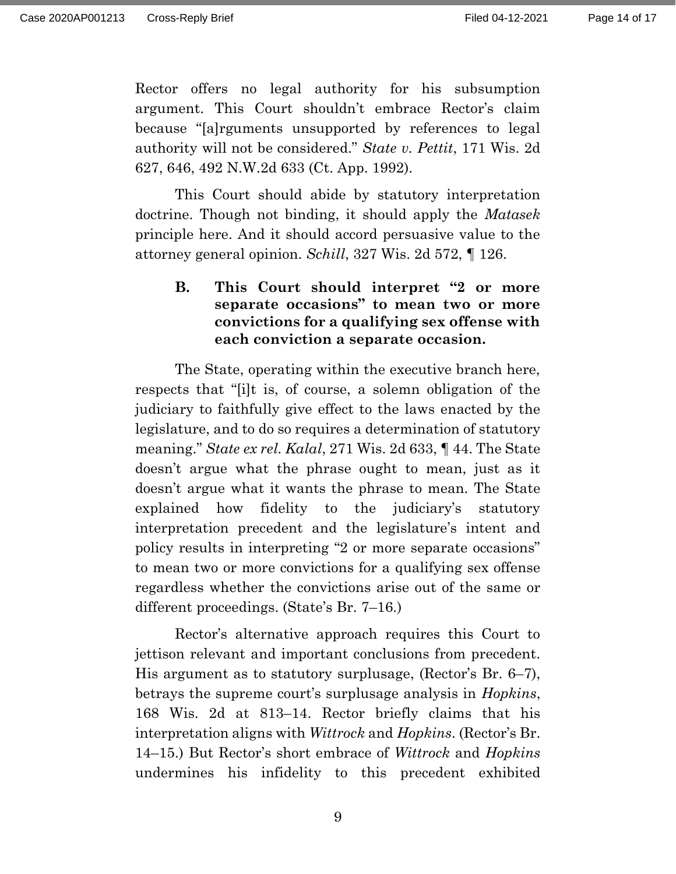Rector offers no legal authority for his subsumption argument. This Court shouldn't embrace Rector's claim because "[a]rguments unsupported by references to legal authority will not be considered." *State v. Pettit*, 171 Wis. 2d 627, 646, 492 N.W.2d 633 (Ct. App. 1992).

This Court should abide by statutory interpretation doctrine. Though not binding, it should apply the *Matasek* principle here. And it should accord persuasive value to the attorney general opinion. *Schill*, 327 Wis. 2d 572, ¶ 126.

# **B. This Court should interpret "2 or more separate occasions" to mean two or more convictions for a qualifying sex offense with each conviction a separate occasion.**

The State, operating within the executive branch here, respects that "[i]t is, of course, a solemn obligation of the judiciary to faithfully give effect to the laws enacted by the legislature, and to do so requires a determination of statutory meaning." *State ex rel. Kalal*, 271 Wis. 2d 633, ¶ 44. The State doesn't argue what the phrase ought to mean, just as it doesn't argue what it wants the phrase to mean. The State explained how fidelity to the judiciary's statutory interpretation precedent and the legislature's intent and policy results in interpreting "2 or more separate occasions" to mean two or more convictions for a qualifying sex offense regardless whether the convictions arise out of the same or different proceedings. (State's Br. 7–16.)

Rector's alternative approach requires this Court to jettison relevant and important conclusions from precedent. His argument as to statutory surplusage, (Rector's Br. 6–7), betrays the supreme court's surplusage analysis in *Hopkins*, 168 Wis. 2d at 813–14. Rector briefly claims that his interpretation aligns with *Wittrock* and *Hopkins*. (Rector's Br. 14–15.) But Rector's short embrace of *Wittrock* and *Hopkins* undermines his infidelity to this precedent exhibited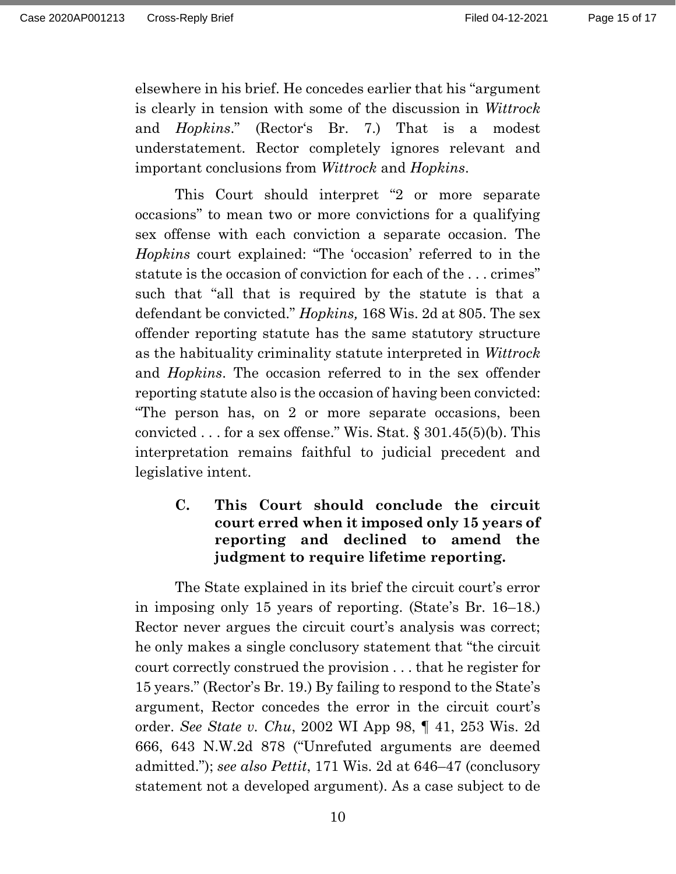elsewhere in his brief. He concedes earlier that his "argument is clearly in tension with some of the discussion in *Wittrock* and *Hopkins*." (Rector's Br. 7.) That is a modest understatement. Rector completely ignores relevant and important conclusions from *Wittrock* and *Hopkins*.

This Court should interpret "2 or more separate occasions" to mean two or more convictions for a qualifying sex offense with each conviction a separate occasion. The *Hopkins* court explained: "The 'occasion' referred to in the statute is the occasion of conviction for each of the . . . crimes" such that "all that is required by the statute is that a defendant be convicted." *Hopkins,* 168 Wis. 2d at 805. The sex offender reporting statute has the same statutory structure as the habituality criminality statute interpreted in *Wittrock*  and *Hopkins*. The occasion referred to in the sex offender reporting statute also is the occasion of having been convicted: "The person has, on 2 or more separate occasions, been convicted  $\ldots$  for a sex offense." Wis. Stat. § 301.45(5)(b). This interpretation remains faithful to judicial precedent and legislative intent.

# **C. This Court should conclude the circuit court erred when it imposed only 15 years of reporting and declined to amend the judgment to require lifetime reporting.**

The State explained in its brief the circuit court's error in imposing only 15 years of reporting. (State's Br. 16–18.) Rector never argues the circuit court's analysis was correct; he only makes a single conclusory statement that "the circuit court correctly construed the provision . . . that he register for 15 years." (Rector's Br. 19.) By failing to respond to the State's argument, Rector concedes the error in the circuit court's order. *See State v. Chu*, 2002 WI App 98, ¶ 41, 253 Wis. 2d 666, 643 N.W.2d 878 ("Unrefuted arguments are deemed admitted."); *see also Pettit*, 171 Wis. 2d at 646–47 (conclusory statement not a developed argument). As a case subject to de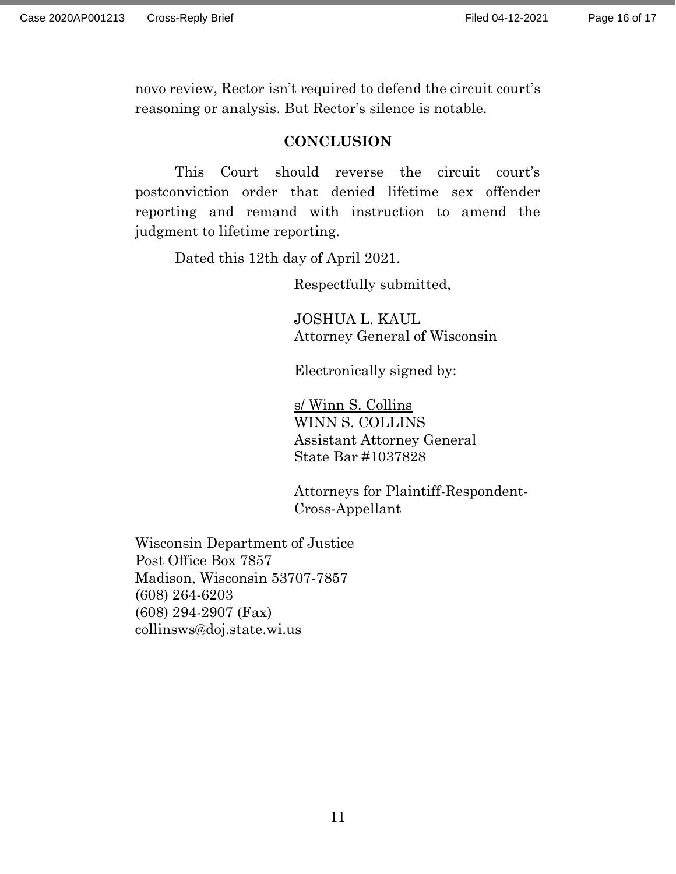novo review, Rector isn't required to defend the circuit court's reasoning or analysis. But Rector's silence is notable.

#### **CONCLUSION**

This Court should reverse the circuit court's postconviction order that denied lifetime sex offender reporting and remand with instruction to amend the judgment to lifetime reporting.

Dated this 12th day of April 2021.

Respectfully submitted,

JOSHUA L. KAUL Attorney General of Wisconsin

Electronically signed by:

s/ Winn S. Collins WINN S. COLLINS Assistant Attorney General State Bar #1037828

Attorneys for Plaintiff-Respondent-Cross-Appellant

Wisconsin Department of Justice Post Office Box 7857 Madison, Wisconsin 53707-7857 (608) 264-6203 (608) 294-2907 (Fax) collinsws@doj.state.wi.us